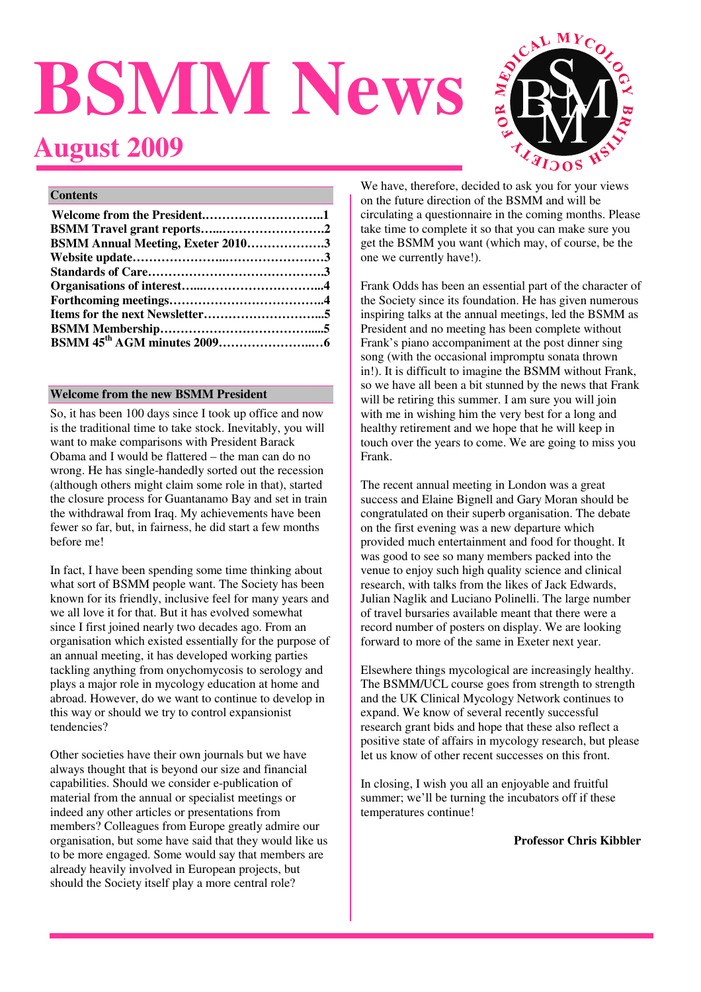# **BSMM News**





#### **Contents**

| <b>BSMM Annual Meeting, Exeter 20103</b> |  |
|------------------------------------------|--|
|                                          |  |
|                                          |  |
|                                          |  |
|                                          |  |
|                                          |  |
|                                          |  |
|                                          |  |

# **Welcome from the new BSMM President**

So, it has been 100 days since I took up office and now is the traditional time to take stock. Inevitably, you will want to make comparisons with President Barack Obama and I would be flattered – the man can do no wrong. He has single-handedly sorted out the recession (although others might claim some role in that), started the closure process for Guantanamo Bay and set in train the withdrawal from Iraq. My achievements have been fewer so far, but, in fairness, he did start a few months before me!

In fact, I have been spending some time thinking about what sort of BSMM people want. The Society has been known for its friendly, inclusive feel for many years and we all love it for that. But it has evolved somewhat since I first joined nearly two decades ago. From an organisation which existed essentially for the purpose of an annual meeting, it has developed working parties tackling anything from onychomycosis to serology and plays a major role in mycology education at home and abroad. However, do we want to continue to develop in this way or should we try to control expansionist tendencies?

Other societies have their own journals but we have always thought that is beyond our size and financial capabilities. Should we consider e-publication of material from the annual or specialist meetings or indeed any other articles or presentations from members? Colleagues from Europe greatly admire our organisation, but some have said that they would like us to be more engaged. Some would say that members are already heavily involved in European projects, but should the Society itself play a more central role?

We have, therefore, decided to ask you for your views on the future direction of the BSMM and will be circulating a questionnaire in the coming months. Please take time to complete it so that you can make sure you get the BSMM you want (which may, of course, be the one we currently have!).

Frank Odds has been an essential part of the character of the Society since its foundation. He has given numerous inspiring talks at the annual meetings, led the BSMM as President and no meeting has been complete without Frank's piano accompaniment at the post dinner sing song (with the occasional impromptu sonata thrown in!). It is difficult to imagine the BSMM without Frank, so we have all been a bit stunned by the news that Frank will be retiring this summer. I am sure you will join with me in wishing him the very best for a long and healthy retirement and we hope that he will keep in touch over the years to come. We are going to miss you Frank.

The recent annual meeting in London was a great success and Elaine Bignell and Gary Moran should be congratulated on their superb organisation. The debate on the first evening was a new departure which provided much entertainment and food for thought. It was good to see so many members packed into the venue to enjoy such high quality science and clinical research, with talks from the likes of Jack Edwards, Julian Naglik and Luciano Polinelli. The large number of travel bursaries available meant that there were a record number of posters on display. We are looking forward to more of the same in Exeter next year.

Elsewhere things mycological are increasingly healthy. The BSMM/UCL course goes from strength to strength and the UK Clinical Mycology Network continues to expand. We know of several recently successful research grant bids and hope that these also reflect a positive state of affairs in mycology research, but please let us know of other recent successes on this front.

In closing, I wish you all an enjoyable and fruitful summer; we'll be turning the incubators off if these temperatures continue!

**Professor Chris Kibbler**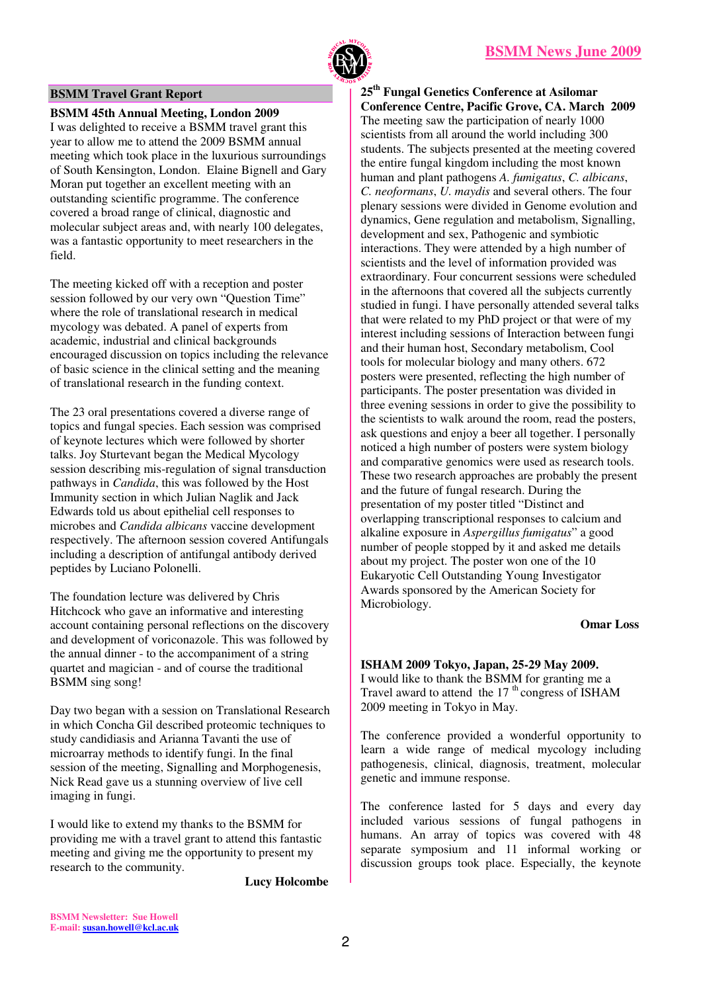

#### **BSMM Travel Grant Report**

**BSMM 45th Annual Meeting, London 2009** 

I was delighted to receive a BSMM travel grant this year to allow me to attend the 2009 BSMM annual meeting which took place in the luxurious surroundings of South Kensington, London. Elaine Bignell and Gary Moran put together an excellent meeting with an outstanding scientific programme. The conference covered a broad range of clinical, diagnostic and molecular subject areas and, with nearly 100 delegates, was a fantastic opportunity to meet researchers in the field.

The meeting kicked off with a reception and poster session followed by our very own "Question Time" where the role of translational research in medical mycology was debated. A panel of experts from academic, industrial and clinical backgrounds encouraged discussion on topics including the relevance of basic science in the clinical setting and the meaning of translational research in the funding context.

The 23 oral presentations covered a diverse range of topics and fungal species. Each session was comprised of keynote lectures which were followed by shorter talks. Joy Sturtevant began the Medical Mycology session describing mis-regulation of signal transduction pathways in *Candida*, this was followed by the Host Immunity section in which Julian Naglik and Jack Edwards told us about epithelial cell responses to microbes and *Candida albicans* vaccine development respectively. The afternoon session covered Antifungals including a description of antifungal antibody derived peptides by Luciano Polonelli.

The foundation lecture was delivered by Chris Hitchcock who gave an informative and interesting account containing personal reflections on the discovery and development of voriconazole. This was followed by the annual dinner - to the accompaniment of a string quartet and magician - and of course the traditional BSMM sing song!

Day two began with a session on Translational Research in which Concha Gil described proteomic techniques to study candidiasis and Arianna Tavanti the use of microarray methods to identify fungi. In the final session of the meeting, Signalling and Morphogenesis, Nick Read gave us a stunning overview of live cell imaging in fungi.

I would like to extend my thanks to the BSMM for providing me with a travel grant to attend this fantastic meeting and giving me the opportunity to present my research to the community.

**Lucy Holcombe** 

**25th Fungal Genetics Conference at Asilomar Conference Centre, Pacific Grove, CA. March 2009**  The meeting saw the participation of nearly 1000 scientists from all around the world including 300 students. The subjects presented at the meeting covered the entire fungal kingdom including the most known human and plant pathogens *A. fumigatus*, *C. albicans*, *C. neoformans*, *U. maydis* and several others. The four plenary sessions were divided in Genome evolution and dynamics, Gene regulation and metabolism, Signalling, development and sex, Pathogenic and symbiotic interactions. They were attended by a high number of scientists and the level of information provided was extraordinary. Four concurrent sessions were scheduled in the afternoons that covered all the subjects currently studied in fungi. I have personally attended several talks that were related to my PhD project or that were of my interest including sessions of Interaction between fungi and their human host, Secondary metabolism, Cool tools for molecular biology and many others. 672 posters were presented, reflecting the high number of participants. The poster presentation was divided in three evening sessions in order to give the possibility to the scientists to walk around the room, read the posters, ask questions and enjoy a beer all together. I personally noticed a high number of posters were system biology and comparative genomics were used as research tools. These two research approaches are probably the present and the future of fungal research. During the presentation of my poster titled "Distinct and overlapping transcriptional responses to calcium and alkaline exposure in *Aspergillus fumigatus*" a good number of people stopped by it and asked me details about my project. The poster won one of the 10 Eukaryotic Cell Outstanding Young Investigator Awards sponsored by the American Society for Microbiology.

#### **Omar Loss**

**ISHAM 2009 Tokyo, Japan, 25-29 May 2009.**  I would like to thank the BSMM for granting me a Travel award to attend the  $17<sup>th</sup>$  congress of ISHAM 2009 meeting in Tokyo in May.

The conference provided a wonderful opportunity to learn a wide range of medical mycology including pathogenesis, clinical, diagnosis, treatment, molecular genetic and immune response.

The conference lasted for 5 days and every day included various sessions of fungal pathogens in humans. An array of topics was covered with 48 separate symposium and 11 informal working or discussion groups took place. Especially, the keynote

**BSMM Newsletter: Sue Howell E-mail: susan.howell@kcl.ac.uk**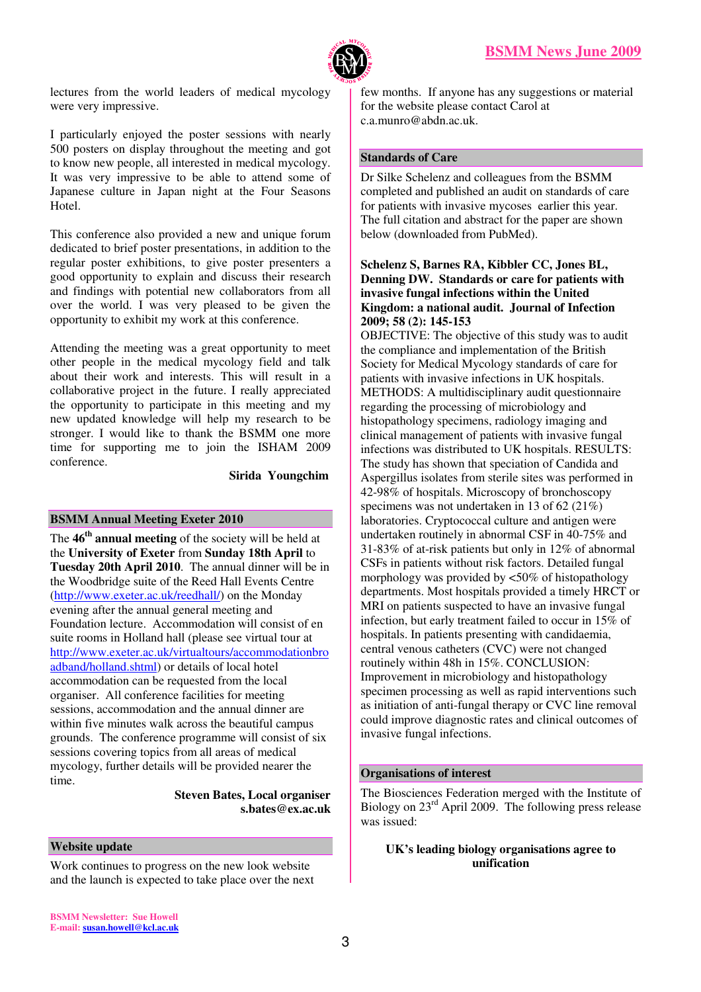

lectures from the world leaders of medical mycology were very impressive.

I particularly enjoyed the poster sessions with nearly 500 posters on display throughout the meeting and got to know new people, all interested in medical mycology. It was very impressive to be able to attend some of Japanese culture in Japan night at the Four Seasons Hotel.

This conference also provided a new and unique forum dedicated to brief poster presentations, in addition to the regular poster exhibitions, to give poster presenters a good opportunity to explain and discuss their research and findings with potential new collaborators from all over the world. I was very pleased to be given the opportunity to exhibit my work at this conference.

Attending the meeting was a great opportunity to meet other people in the medical mycology field and talk about their work and interests. This will result in a collaborative project in the future. I really appreciated the opportunity to participate in this meeting and my new updated knowledge will help my research to be stronger. I would like to thank the BSMM one more time for supporting me to join the ISHAM 2009 conference.

#### **Sirida Youngchim**

#### **BSMM Annual Meeting Exeter 2010**

The **46th annual meeting** of the society will be held at the **University of Exeter** from **Sunday 18th April** to **Tuesday 20th April 2010**. The annual dinner will be in the Woodbridge suite of the Reed Hall Events Centre (http://www.exeter.ac.uk/reedhall/) on the Monday evening after the annual general meeting and Foundation lecture. Accommodation will consist of en suite rooms in Holland hall (please see virtual tour at http://www.exeter.ac.uk/virtualtours/accommodationbro adband/holland.shtml) or details of local hotel accommodation can be requested from the local organiser. All conference facilities for meeting sessions, accommodation and the annual dinner are within five minutes walk across the beautiful campus grounds. The conference programme will consist of six sessions covering topics from all areas of medical mycology, further details will be provided nearer the time.

> **Steven Bates, Local organiser s.bates@ex.ac.uk**

#### **Website update**

Work continues to progress on the new look website and the launch is expected to take place over the next few months. If anyone has any suggestions or material for the website please contact Carol at c.a.munro@abdn.ac.uk.

#### **Standards of Care**

Dr Silke Schelenz and colleagues from the BSMM completed and published an audit on standards of care for patients with invasive mycoses earlier this year. The full citation and abstract for the paper are shown below (downloaded from PubMed).

#### **Schelenz S, Barnes RA, Kibbler CC, Jones BL, Denning DW. Standards or care for patients with invasive fungal infections within the United Kingdom: a national audit. Journal of Infection 2009; 58 (2): 145-153**

OBJECTIVE: The objective of this study was to audit the compliance and implementation of the British Society for Medical Mycology standards of care for patients with invasive infections in UK hospitals. METHODS: A multidisciplinary audit questionnaire regarding the processing of microbiology and histopathology specimens, radiology imaging and clinical management of patients with invasive fungal infections was distributed to UK hospitals. RESULTS: The study has shown that speciation of Candida and Aspergillus isolates from sterile sites was performed in 42-98% of hospitals. Microscopy of bronchoscopy specimens was not undertaken in 13 of 62 (21%) laboratories. Cryptococcal culture and antigen were undertaken routinely in abnormal CSF in 40-75% and 31-83% of at-risk patients but only in 12% of abnormal CSFs in patients without risk factors. Detailed fungal morphology was provided by <50% of histopathology departments. Most hospitals provided a timely HRCT or MRI on patients suspected to have an invasive fungal infection, but early treatment failed to occur in 15% of hospitals. In patients presenting with candidaemia, central venous catheters (CVC) were not changed routinely within 48h in 15%. CONCLUSION: Improvement in microbiology and histopathology specimen processing as well as rapid interventions such as initiation of anti-fungal therapy or CVC line removal could improve diagnostic rates and clinical outcomes of invasive fungal infections.

#### **Organisations of interest**

The Biosciences Federation merged with the Institute of Biology on 23rd April 2009. The following press release was issued:

#### **UK's leading biology organisations agree to unification**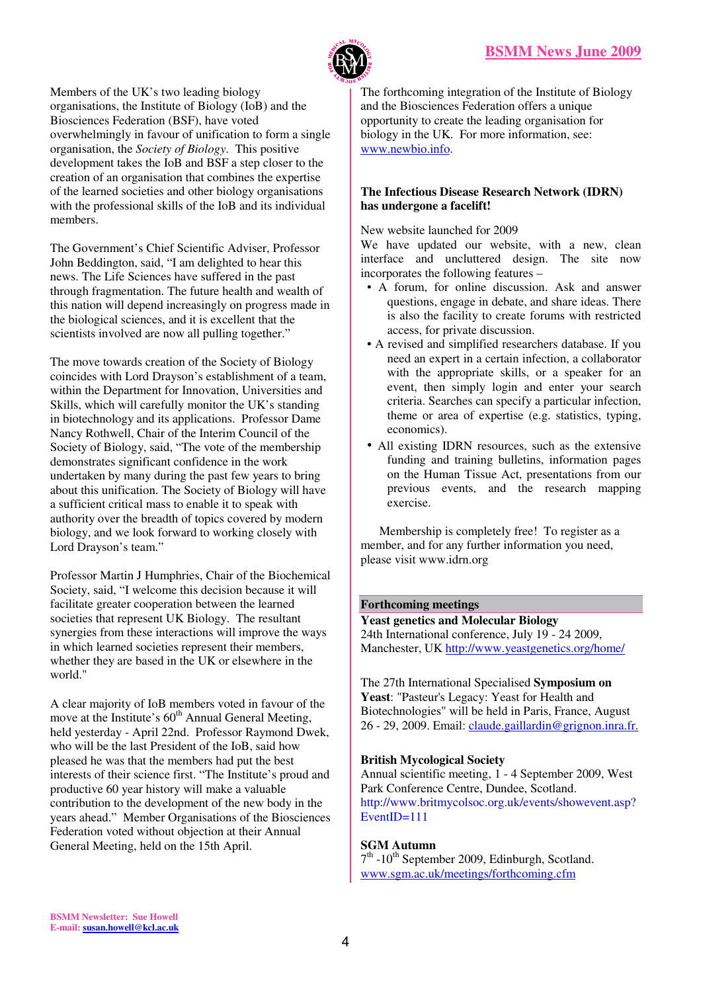

Members of the UK's two leading biology organisations, the Institute of Biology (IoB) and the Biosciences Federation (BSF), have voted overwhelmingly in favour of unification to form a single organisation, the *Society of Biology*. This positive development takes the IoB and BSF a step closer to the creation of an organisation that combines the expertise of the learned societies and other biology organisations with the professional skills of the IoB and its individual members.

The Government's Chief Scientific Adviser, Professor John Beddington, said, "I am delighted to hear this news. The Life Sciences have suffered in the past through fragmentation. The future health and wealth of this nation will depend increasingly on progress made in the biological sciences, and it is excellent that the scientists involved are now all pulling together."

The move towards creation of the Society of Biology coincides with Lord Drayson's establishment of a team, within the Department for Innovation, Universities and Skills, which will carefully monitor the UK's standing in biotechnology and its applications. Professor Dame Nancy Rothwell, Chair of the Interim Council of the Society of Biology, said, "The vote of the membership demonstrates significant confidence in the work undertaken by many during the past few years to bring about this unification. The Society of Biology will have a sufficient critical mass to enable it to speak with authority over the breadth of topics covered by modern biology, and we look forward to working closely with Lord Drayson's team."

Professor Martin J Humphries, Chair of the Biochemical Society, said, "I welcome this decision because it will facilitate greater cooperation between the learned societies that represent UK Biology. The resultant synergies from these interactions will improve the ways in which learned societies represent their members, whether they are based in the UK or elsewhere in the world."

A clear majority of IoB members voted in favour of the move at the Institute's  $60<sup>th</sup>$  Annual General Meeting, held yesterday - April 22nd. Professor Raymond Dwek, who will be the last President of the IoB, said how pleased he was that the members had put the best interests of their science first. "The Institute's proud and productive 60 year history will make a valuable contribution to the development of the new body in the years ahead." Member Organisations of the Biosciences Federation voted without objection at their Annual General Meeting, held on the 15th April.

The forthcoming integration of the Institute of Biology and the Biosciences Federation offers a unique opportunity to create the leading organisation for biology in the UK. For more information, see: www.newbio.info.

# **The Infectious Disease Research Network (IDRN) has undergone a facelift!**

New website launched for 2009

We have updated our website, with a new, clean interface and uncluttered design. The site now incorporates the following features –

- A forum, for online discussion. Ask and answer questions, engage in debate, and share ideas. There is also the facility to create forums with restricted access, for private discussion.
- A revised and simplified researchers database. If you need an expert in a certain infection, a collaborator with the appropriate skills, or a speaker for an event, then simply login and enter your search criteria. Searches can specify a particular infection, theme or area of expertise (e.g. statistics, typing, economics).
- All existing IDRN resources, such as the extensive funding and training bulletins, information pages on the Human Tissue Act, presentations from our previous events, and the research mapping exercise.

 Membership is completely free! To register as a member, and for any further information you need, please visit www.idrn.org

#### **Forthcoming meetings**

**Yeast genetics and Molecular Biology**  24th International conference, July 19 - 24 2009, Manchester, UK http://www.yeastgenetics.org/home/

The 27th International Specialised **Symposium on Yeast**: "Pasteur's Legacy: Yeast for Health and Biotechnologies" will be held in Paris, France, August 26 - 29, 2009. Email: claude.gaillardin@grignon.inra.fr.

#### **British Mycological Society**

Annual scientific meeting, 1 - 4 September 2009, West Park Conference Centre, Dundee, Scotland. http://www.britmycolsoc.org.uk/events/showevent.asp? EventID=111

# **SGM Autumn**

7<sup>th</sup> -10<sup>th</sup> September 2009, Edinburgh, Scotland. www.sgm.ac.uk/meetings/forthcoming.cfm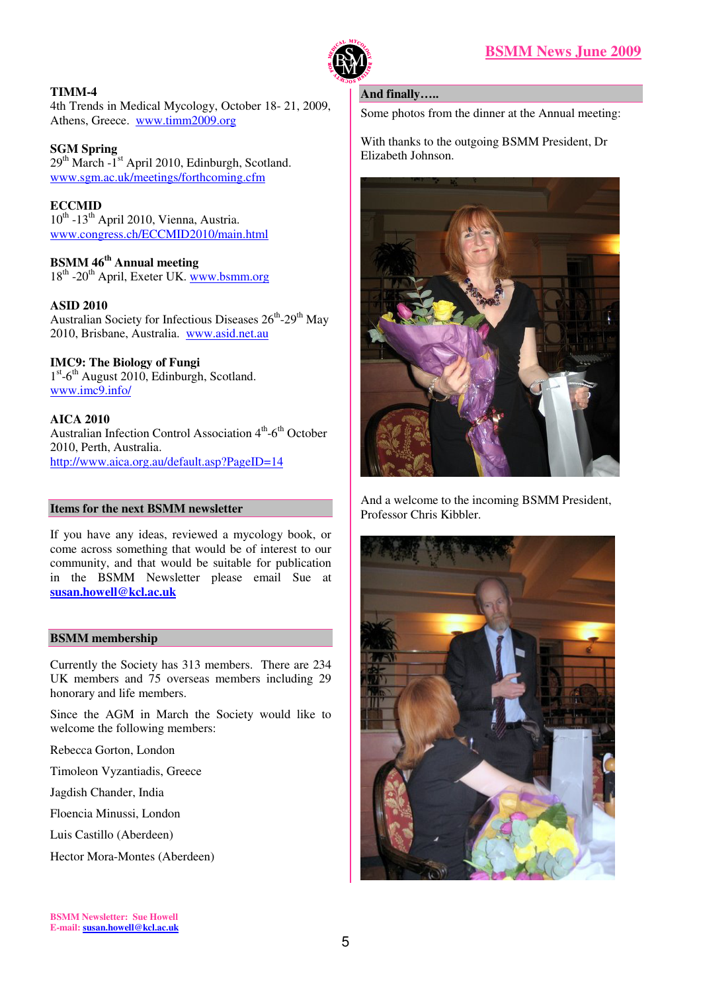

# **TIMM-4**

4th Trends in Medical Mycology, October 18- 21, 2009, Athens, Greece. www.timm2009.org

# **SGM Spring**

 $29<sup>th</sup> March -1<sup>st</sup>$  April 2010, Edinburgh, Scotland. www.sgm.ac.uk/meetings/forthcoming.cfm

# **ECCMID**

 $10^{th}$  -13<sup>th</sup> April 2010, Vienna, Austria. www.congress.ch/ECCMID2010/main.html

# **BSMM 46th Annual meeting**

18<sup>th</sup> -20<sup>th</sup> April, Exeter UK. www.bsmm.org

# **ASID 2010**

Australian Society for Infectious Diseases  $26^{th} - 29^{th}$  May 2010, Brisbane, Australia. www.asid.net.au

# **IMC9: The Biology of Fungi**

1<sup>st</sup>-6<sup>th</sup> August 2010, Edinburgh, Scotland. www.imc9.info/

# **AICA 2010**

Australian Infection Control Association  $4<sup>th</sup>$ -6<sup>th</sup> October 2010, Perth, Australia. http://www.aica.org.au/default.asp?PageID=14

#### **Items for the next BSMM newsletter**

If you have any ideas, reviewed a mycology book, or come across something that would be of interest to our community, and that would be suitable for publication in the BSMM Newsletter please email Sue at **susan.howell@kcl.ac.uk** 

#### **BSMM membership**

Currently the Society has 313 members. There are 234 UK members and 75 overseas members including 29 honorary and life members.

Since the AGM in March the Society would like to welcome the following members:

Rebecca Gorton, London

Timoleon Vyzantiadis, Greece

Jagdish Chander, India

Floencia Minussi, London

Luis Castillo (Aberdeen)

Hector Mora-Montes (Aberdeen)

#### **And finally…..**

Some photos from the dinner at the Annual meeting:

With thanks to the outgoing BSMM President, Dr Elizabeth Johnson.



And a welcome to the incoming BSMM President, Professor Chris Kibbler.

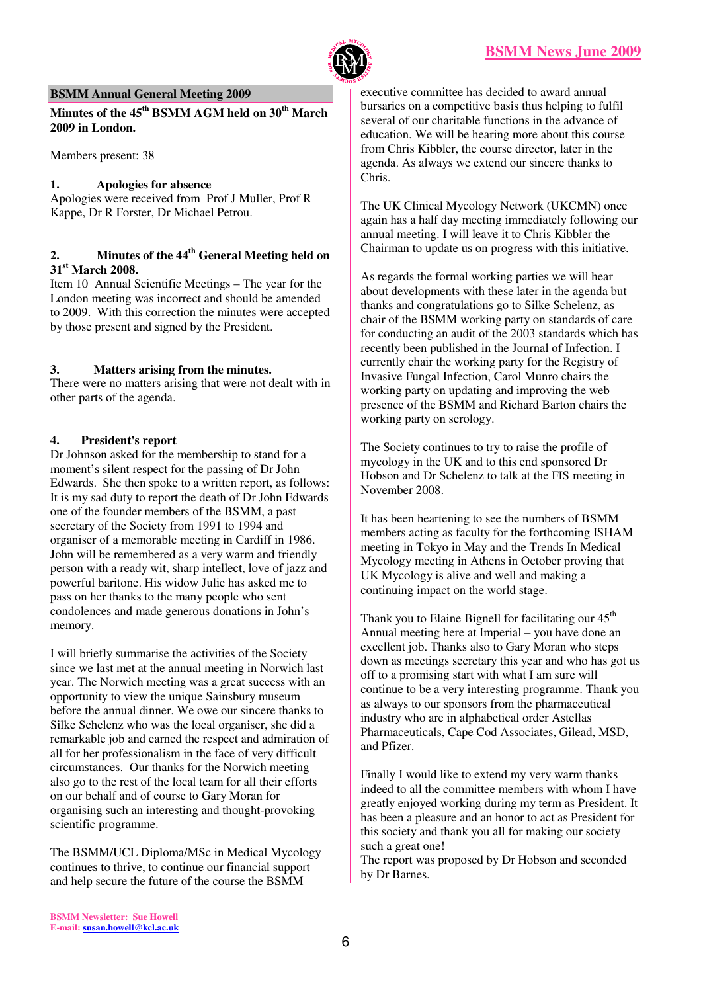

#### **BSMM Annual General Meeting 2009**

**Minutes of the 45th BSMM AGM held on 30th March 2009 in London.** 

Members present: 38

#### **1. Apologies for absence**

Apologies were received from Prof J Muller, Prof R Kappe, Dr R Forster, Dr Michael Petrou.

# **2. Minutes of the 44th General Meeting held on 31st March 2008.**

Item 10 Annual Scientific Meetings – The year for the London meeting was incorrect and should be amended to 2009. With this correction the minutes were accepted by those present and signed by the President.

#### **3. Matters arising from the minutes.**

There were no matters arising that were not dealt with in other parts of the agenda.

#### **4. President's report**

Dr Johnson asked for the membership to stand for a moment's silent respect for the passing of Dr John Edwards. She then spoke to a written report, as follows: It is my sad duty to report the death of Dr John Edwards one of the founder members of the BSMM, a past secretary of the Society from 1991 to 1994 and organiser of a memorable meeting in Cardiff in 1986. John will be remembered as a very warm and friendly person with a ready wit, sharp intellect, love of jazz and powerful baritone. His widow Julie has asked me to pass on her thanks to the many people who sent condolences and made generous donations in John's memory.

I will briefly summarise the activities of the Society since we last met at the annual meeting in Norwich last year. The Norwich meeting was a great success with an opportunity to view the unique Sainsbury museum before the annual dinner. We owe our sincere thanks to Silke Schelenz who was the local organiser, she did a remarkable job and earned the respect and admiration of all for her professionalism in the face of very difficult circumstances. Our thanks for the Norwich meeting also go to the rest of the local team for all their efforts on our behalf and of course to Gary Moran for organising such an interesting and thought-provoking scientific programme.

The BSMM/UCL Diploma/MSc in Medical Mycology continues to thrive, to continue our financial support and help secure the future of the course the BSMM

executive committee has decided to award annual bursaries on a competitive basis thus helping to fulfil several of our charitable functions in the advance of education. We will be hearing more about this course from Chris Kibbler, the course director, later in the agenda. As always we extend our sincere thanks to Chris.

The UK Clinical Mycology Network (UKCMN) once again has a half day meeting immediately following our annual meeting. I will leave it to Chris Kibbler the Chairman to update us on progress with this initiative.

As regards the formal working parties we will hear about developments with these later in the agenda but thanks and congratulations go to Silke Schelenz, as chair of the BSMM working party on standards of care for conducting an audit of the 2003 standards which has recently been published in the Journal of Infection. I currently chair the working party for the Registry of Invasive Fungal Infection, Carol Munro chairs the working party on updating and improving the web presence of the BSMM and Richard Barton chairs the working party on serology.

The Society continues to try to raise the profile of mycology in the UK and to this end sponsored Dr Hobson and Dr Schelenz to talk at the FIS meeting in November 2008.

It has been heartening to see the numbers of BSMM members acting as faculty for the forthcoming ISHAM meeting in Tokyo in May and the Trends In Medical Mycology meeting in Athens in October proving that UK Mycology is alive and well and making a continuing impact on the world stage.

Thank you to Elaine Bignell for facilitating our  $45<sup>th</sup>$ Annual meeting here at Imperial – you have done an excellent job. Thanks also to Gary Moran who steps down as meetings secretary this year and who has got us off to a promising start with what I am sure will continue to be a very interesting programme. Thank you as always to our sponsors from the pharmaceutical industry who are in alphabetical order Astellas Pharmaceuticals, Cape Cod Associates, Gilead, MSD, and Pfizer.

Finally I would like to extend my very warm thanks indeed to all the committee members with whom I have greatly enjoyed working during my term as President. It has been a pleasure and an honor to act as President for this society and thank you all for making our society such a great one!

The report was proposed by Dr Hobson and seconded by Dr Barnes.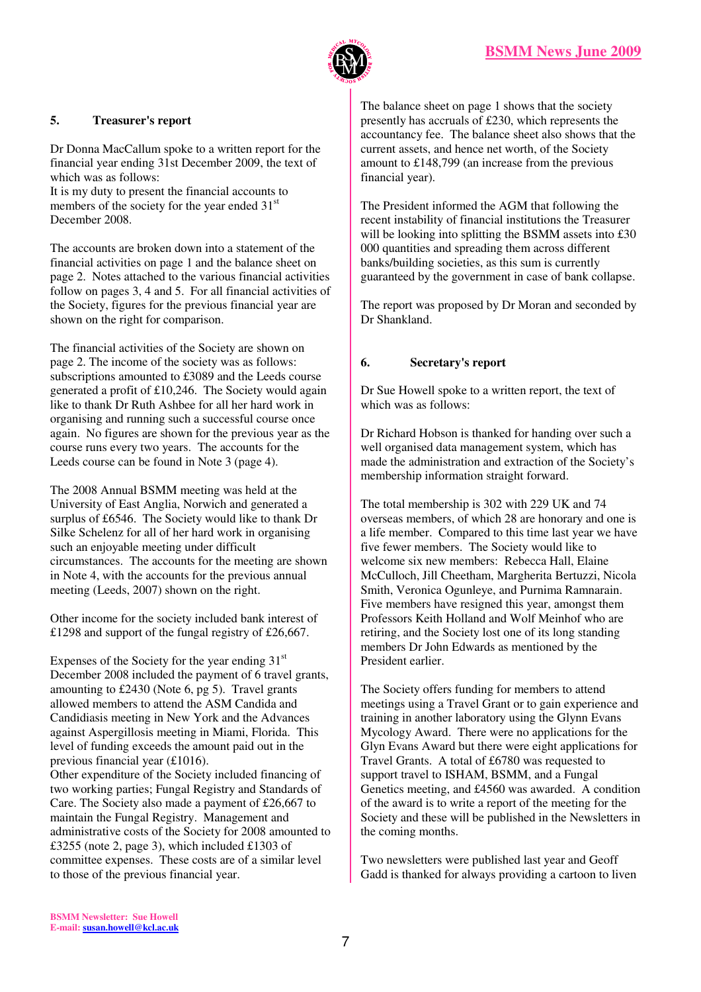

# **5. Treasurer's report**

Dr Donna MacCallum spoke to a written report for the financial year ending 31st December 2009, the text of which was as follows:

It is my duty to present the financial accounts to members of the society for the year ended 31<sup>st</sup> December 2008.

The accounts are broken down into a statement of the financial activities on page 1 and the balance sheet on page 2. Notes attached to the various financial activities follow on pages 3, 4 and 5. For all financial activities of the Society, figures for the previous financial year are shown on the right for comparison.

The financial activities of the Society are shown on page 2. The income of the society was as follows: subscriptions amounted to £3089 and the Leeds course generated a profit of £10,246. The Society would again like to thank Dr Ruth Ashbee for all her hard work in organising and running such a successful course once again. No figures are shown for the previous year as the course runs every two years. The accounts for the Leeds course can be found in Note 3 (page 4).

The 2008 Annual BSMM meeting was held at the University of East Anglia, Norwich and generated a surplus of £6546. The Society would like to thank Dr Silke Schelenz for all of her hard work in organising such an enjoyable meeting under difficult circumstances. The accounts for the meeting are shown in Note 4, with the accounts for the previous annual meeting (Leeds, 2007) shown on the right.

Other income for the society included bank interest of £1298 and support of the fungal registry of £26,667.

Expenses of the Society for the year ending  $31<sup>st</sup>$ December 2008 included the payment of 6 travel grants, amounting to £2430 (Note 6, pg 5). Travel grants allowed members to attend the ASM Candida and Candidiasis meeting in New York and the Advances against Aspergillosis meeting in Miami, Florida. This level of funding exceeds the amount paid out in the previous financial year (£1016).

Other expenditure of the Society included financing of two working parties; Fungal Registry and Standards of Care. The Society also made a payment of £26,667 to maintain the Fungal Registry. Management and administrative costs of the Society for 2008 amounted to £3255 (note 2, page 3), which included £1303 of committee expenses. These costs are of a similar level to those of the previous financial year.

The balance sheet on page 1 shows that the society presently has accruals of £230, which represents the accountancy fee. The balance sheet also shows that the current assets, and hence net worth, of the Society amount to £148,799 (an increase from the previous financial year).

The President informed the AGM that following the recent instability of financial institutions the Treasurer will be looking into splitting the BSMM assets into £30 000 quantities and spreading them across different banks/building societies, as this sum is currently guaranteed by the government in case of bank collapse.

The report was proposed by Dr Moran and seconded by Dr Shankland.

# **6. Secretary's report**

Dr Sue Howell spoke to a written report, the text of which was as follows:

Dr Richard Hobson is thanked for handing over such a well organised data management system, which has made the administration and extraction of the Society's membership information straight forward.

The total membership is 302 with 229 UK and 74 overseas members, of which 28 are honorary and one is a life member. Compared to this time last year we have five fewer members. The Society would like to welcome six new members: Rebecca Hall, Elaine McCulloch, Jill Cheetham, Margherita Bertuzzi, Nicola Smith, Veronica Ogunleye, and Purnima Ramnarain. Five members have resigned this year, amongst them Professors Keith Holland and Wolf Meinhof who are retiring, and the Society lost one of its long standing members Dr John Edwards as mentioned by the President earlier.

The Society offers funding for members to attend meetings using a Travel Grant or to gain experience and training in another laboratory using the Glynn Evans Mycology Award. There were no applications for the Glyn Evans Award but there were eight applications for Travel Grants. A total of £6780 was requested to support travel to ISHAM, BSMM, and a Fungal Genetics meeting, and £4560 was awarded. A condition of the award is to write a report of the meeting for the Society and these will be published in the Newsletters in the coming months.

Two newsletters were published last year and Geoff Gadd is thanked for always providing a cartoon to liven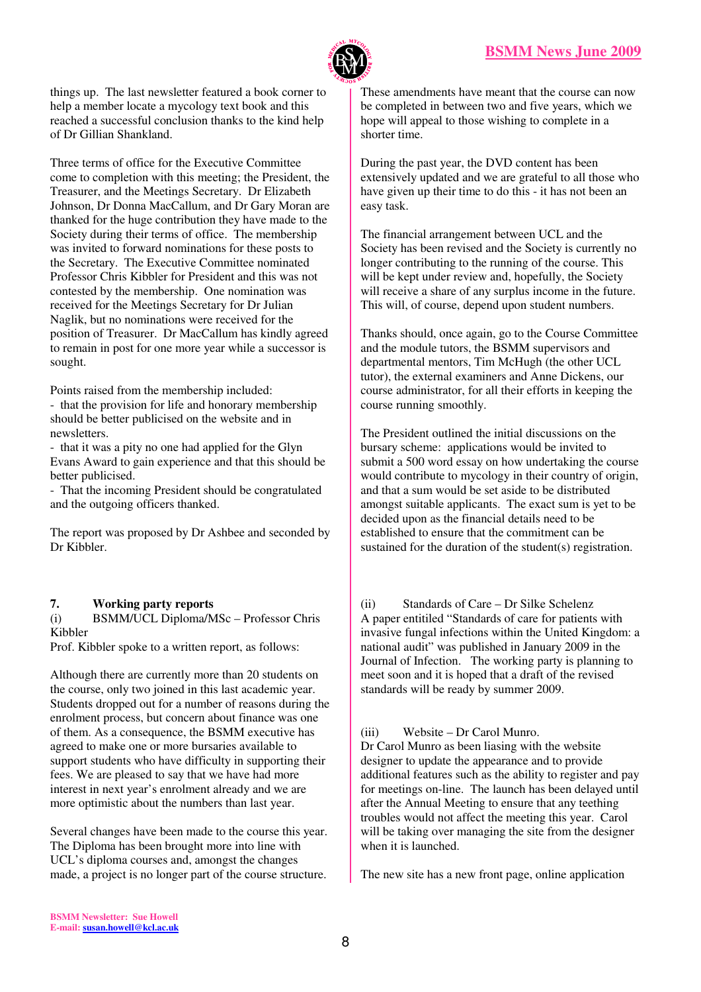

things up. The last newsletter featured a book corner to help a member locate a mycology text book and this reached a successful conclusion thanks to the kind help of Dr Gillian Shankland.

Three terms of office for the Executive Committee come to completion with this meeting; the President, the Treasurer, and the Meetings Secretary. Dr Elizabeth Johnson, Dr Donna MacCallum, and Dr Gary Moran are thanked for the huge contribution they have made to the Society during their terms of office. The membership was invited to forward nominations for these posts to the Secretary. The Executive Committee nominated Professor Chris Kibbler for President and this was not contested by the membership. One nomination was received for the Meetings Secretary for Dr Julian Naglik, but no nominations were received for the position of Treasurer. Dr MacCallum has kindly agreed to remain in post for one more year while a successor is sought.

Points raised from the membership included:

- that the provision for life and honorary membership should be better publicised on the website and in newsletters.

- that it was a pity no one had applied for the Glyn Evans Award to gain experience and that this should be better publicised.

- That the incoming President should be congratulated and the outgoing officers thanked.

The report was proposed by Dr Ashbee and seconded by Dr Kibbler.

# **7. Working party reports**

(i) BSMM/UCL Diploma/MSc – Professor Chris Kibbler

Prof. Kibbler spoke to a written report, as follows:

Although there are currently more than 20 students on the course, only two joined in this last academic year. Students dropped out for a number of reasons during the enrolment process, but concern about finance was one of them. As a consequence, the BSMM executive has agreed to make one or more bursaries available to support students who have difficulty in supporting their fees. We are pleased to say that we have had more interest in next year's enrolment already and we are more optimistic about the numbers than last year.

Several changes have been made to the course this year. The Diploma has been brought more into line with UCL's diploma courses and, amongst the changes made, a project is no longer part of the course structure.

These amendments have meant that the course can now be completed in between two and five years, which we hope will appeal to those wishing to complete in a shorter time.

During the past year, the DVD content has been extensively updated and we are grateful to all those who have given up their time to do this - it has not been an easy task.

The financial arrangement between UCL and the Society has been revised and the Society is currently no longer contributing to the running of the course. This will be kept under review and, hopefully, the Society will receive a share of any surplus income in the future. This will, of course, depend upon student numbers.

Thanks should, once again, go to the Course Committee and the module tutors, the BSMM supervisors and departmental mentors, Tim McHugh (the other UCL tutor), the external examiners and Anne Dickens, our course administrator, for all their efforts in keeping the course running smoothly.

The President outlined the initial discussions on the bursary scheme: applications would be invited to submit a 500 word essay on how undertaking the course would contribute to mycology in their country of origin, and that a sum would be set aside to be distributed amongst suitable applicants. The exact sum is yet to be decided upon as the financial details need to be established to ensure that the commitment can be sustained for the duration of the student(s) registration.

(ii) Standards of Care – Dr Silke Schelenz A paper entitiled "Standards of care for patients with invasive fungal infections within the United Kingdom: a national audit" was published in January 2009 in the Journal of Infection. The working party is planning to meet soon and it is hoped that a draft of the revised standards will be ready by summer 2009.

(iii) Website – Dr Carol Munro. Dr Carol Munro as been liasing with the website designer to update the appearance and to provide additional features such as the ability to register and pay for meetings on-line. The launch has been delayed until after the Annual Meeting to ensure that any teething troubles would not affect the meeting this year. Carol will be taking over managing the site from the designer when it is launched.

The new site has a new front page, online application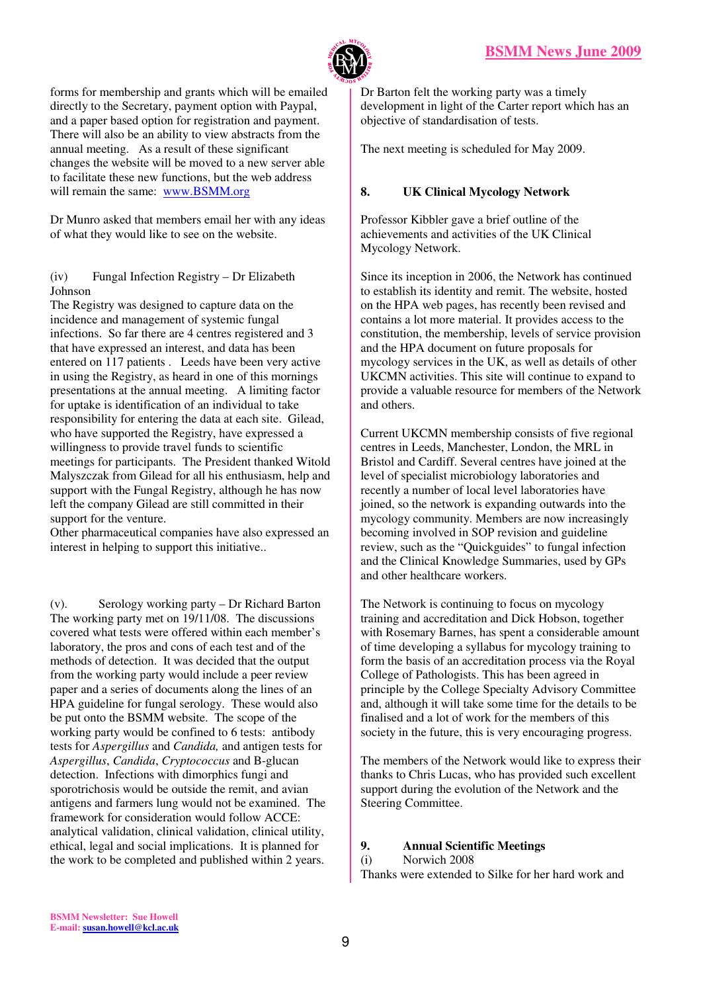

forms for membership and grants which will be emailed directly to the Secretary, payment option with Paypal, and a paper based option for registration and payment. There will also be an ability to view abstracts from the annual meeting. As a result of these significant changes the website will be moved to a new server able to facilitate these new functions, but the web address will remain the same: www.BSMM.org

Dr Munro asked that members email her with any ideas of what they would like to see on the website.

#### (iv) Fungal Infection Registry – Dr Elizabeth Johnson

The Registry was designed to capture data on the incidence and management of systemic fungal infections. So far there are 4 centres registered and 3 that have expressed an interest, and data has been entered on 117 patients . Leeds have been very active in using the Registry, as heard in one of this mornings presentations at the annual meeting. A limiting factor for uptake is identification of an individual to take responsibility for entering the data at each site. Gilead, who have supported the Registry, have expressed a willingness to provide travel funds to scientific meetings for participants. The President thanked Witold Malyszczak from Gilead for all his enthusiasm, help and support with the Fungal Registry, although he has now left the company Gilead are still committed in their support for the venture.

Other pharmaceutical companies have also expressed an interest in helping to support this initiative..

(v). Serology working party – Dr Richard Barton The working party met on 19/11/08. The discussions covered what tests were offered within each member's laboratory, the pros and cons of each test and of the methods of detection. It was decided that the output from the working party would include a peer review paper and a series of documents along the lines of an HPA guideline for fungal serology. These would also be put onto the BSMM website. The scope of the working party would be confined to 6 tests: antibody tests for *Aspergillus* and *Candida,* and antigen tests for *Aspergillus*, *Candida*, *Cryptococcus* and B-glucan detection. Infections with dimorphics fungi and sporotrichosis would be outside the remit, and avian antigens and farmers lung would not be examined. The framework for consideration would follow ACCE: analytical validation, clinical validation, clinical utility, ethical, legal and social implications. It is planned for the work to be completed and published within 2 years.

Dr Barton felt the working party was a timely development in light of the Carter report which has an objective of standardisation of tests.

The next meeting is scheduled for May 2009.

# **8. UK Clinical Mycology Network**

Professor Kibbler gave a brief outline of the achievements and activities of the UK Clinical Mycology Network.

Since its inception in 2006, the Network has continued to establish its identity and remit. The website, hosted on the HPA web pages, has recently been revised and contains a lot more material. It provides access to the constitution, the membership, levels of service provision and the HPA document on future proposals for mycology services in the UK, as well as details of other UKCMN activities. This site will continue to expand to provide a valuable resource for members of the Network and others.

Current UKCMN membership consists of five regional centres in Leeds, Manchester, London, the MRL in Bristol and Cardiff. Several centres have joined at the level of specialist microbiology laboratories and recently a number of local level laboratories have joined, so the network is expanding outwards into the mycology community. Members are now increasingly becoming involved in SOP revision and guideline review, such as the "Quickguides" to fungal infection and the Clinical Knowledge Summaries, used by GPs and other healthcare workers.

The Network is continuing to focus on mycology training and accreditation and Dick Hobson, together with Rosemary Barnes, has spent a considerable amount of time developing a syllabus for mycology training to form the basis of an accreditation process via the Royal College of Pathologists. This has been agreed in principle by the College Specialty Advisory Committee and, although it will take some time for the details to be finalised and a lot of work for the members of this society in the future, this is very encouraging progress.

The members of the Network would like to express their thanks to Chris Lucas, who has provided such excellent support during the evolution of the Network and the Steering Committee.

# **9. Annual Scientific Meetings**

# (i) Norwich 2008

Thanks were extended to Silke for her hard work and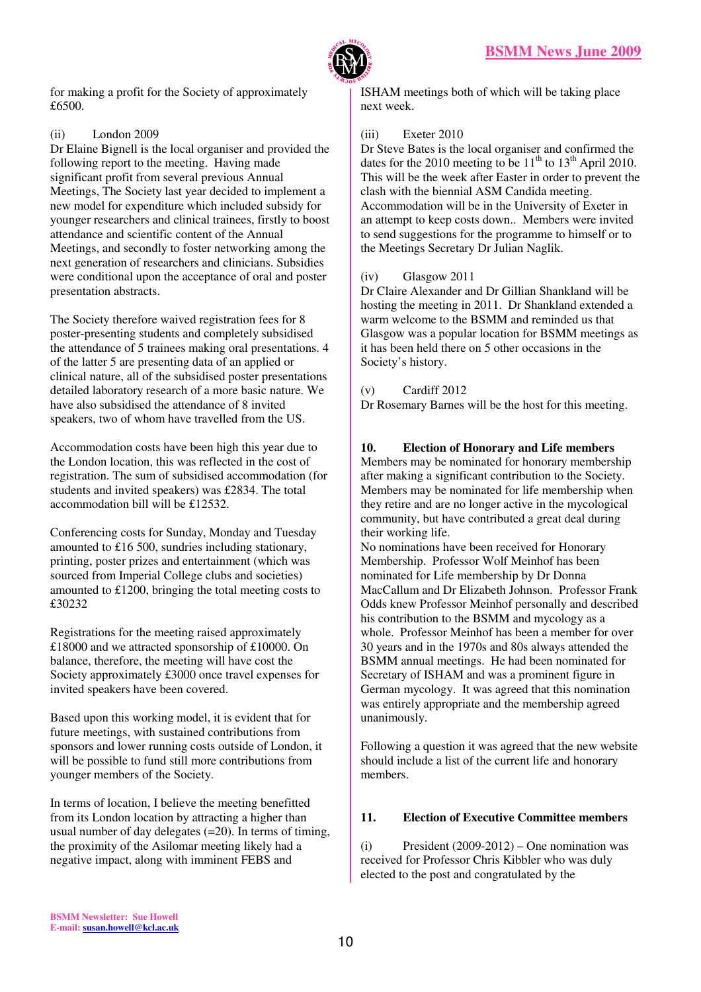

for making a profit for the Society of approximately £6500.

# (ii) London 2009

Dr Elaine Bignell is the local organiser and provided the following report to the meeting. Having made significant profit from several previous Annual Meetings, The Society last year decided to implement a new model for expenditure which included subsidy for younger researchers and clinical trainees, firstly to boost attendance and scientific content of the Annual Meetings, and secondly to foster networking among the next generation of researchers and clinicians. Subsidies were conditional upon the acceptance of oral and poster presentation abstracts.

The Society therefore waived registration fees for 8 poster-presenting students and completely subsidised the attendance of 5 trainees making oral presentations. 4 of the latter 5 are presenting data of an applied or clinical nature, all of the subsidised poster presentations detailed laboratory research of a more basic nature. We have also subsidised the attendance of 8 invited speakers, two of whom have travelled from the US.

Accommodation costs have been high this year due to the London location, this was reflected in the cost of registration. The sum of subsidised accommodation (for students and invited speakers) was £2834. The total accommodation bill will be £12532.

Conferencing costs for Sunday, Monday and Tuesday amounted to £16 500, sundries including stationary, printing, poster prizes and entertainment (which was sourced from Imperial College clubs and societies) amounted to £1200, bringing the total meeting costs to £30232

Registrations for the meeting raised approximately £18000 and we attracted sponsorship of £10000. On balance, therefore, the meeting will have cost the Society approximately £3000 once travel expenses for invited speakers have been covered.

Based upon this working model, it is evident that for future meetings, with sustained contributions from sponsors and lower running costs outside of London, it will be possible to fund still more contributions from younger members of the Society.

In terms of location, I believe the meeting benefitted from its London location by attracting a higher than usual number of day delegates  $(=20)$ . In terms of timing, the proximity of the Asilomar meeting likely had a negative impact, along with imminent FEBS and

ISHAM meetings both of which will be taking place next week.

# (iii) Exeter 2010

Dr Steve Bates is the local organiser and confirmed the dates for the 2010 meeting to be  $11<sup>th</sup>$  to  $13<sup>th</sup>$  April 2010. This will be the week after Easter in order to prevent the clash with the biennial ASM Candida meeting. Accommodation will be in the University of Exeter in an attempt to keep costs down.. Members were invited to send suggestions for the programme to himself or to the Meetings Secretary Dr Julian Naglik.

# (iv) Glasgow 2011

Dr Claire Alexander and Dr Gillian Shankland will be hosting the meeting in 2011. Dr Shankland extended a warm welcome to the BSMM and reminded us that Glasgow was a popular location for BSMM meetings as it has been held there on 5 other occasions in the Society's history.

# $(v)$  Cardiff 2012

Dr Rosemary Barnes will be the host for this meeting.

# **10. Election of Honorary and Life members**

Members may be nominated for honorary membership after making a significant contribution to the Society. Members may be nominated for life membership when they retire and are no longer active in the mycological community, but have contributed a great deal during their working life.

No nominations have been received for Honorary Membership. Professor Wolf Meinhof has been nominated for Life membership by Dr Donna MacCallum and Dr Elizabeth Johnson. Professor Frank Odds knew Professor Meinhof personally and described his contribution to the BSMM and mycology as a whole. Professor Meinhof has been a member for over 30 years and in the 1970s and 80s always attended the BSMM annual meetings. He had been nominated for Secretary of ISHAM and was a prominent figure in German mycology. It was agreed that this nomination was entirely appropriate and the membership agreed unanimously.

Following a question it was agreed that the new website should include a list of the current life and honorary members.

# **11. Election of Executive Committee members**

(i) President  $(2009-2012)$  – One nomination was received for Professor Chris Kibbler who was duly elected to the post and congratulated by the